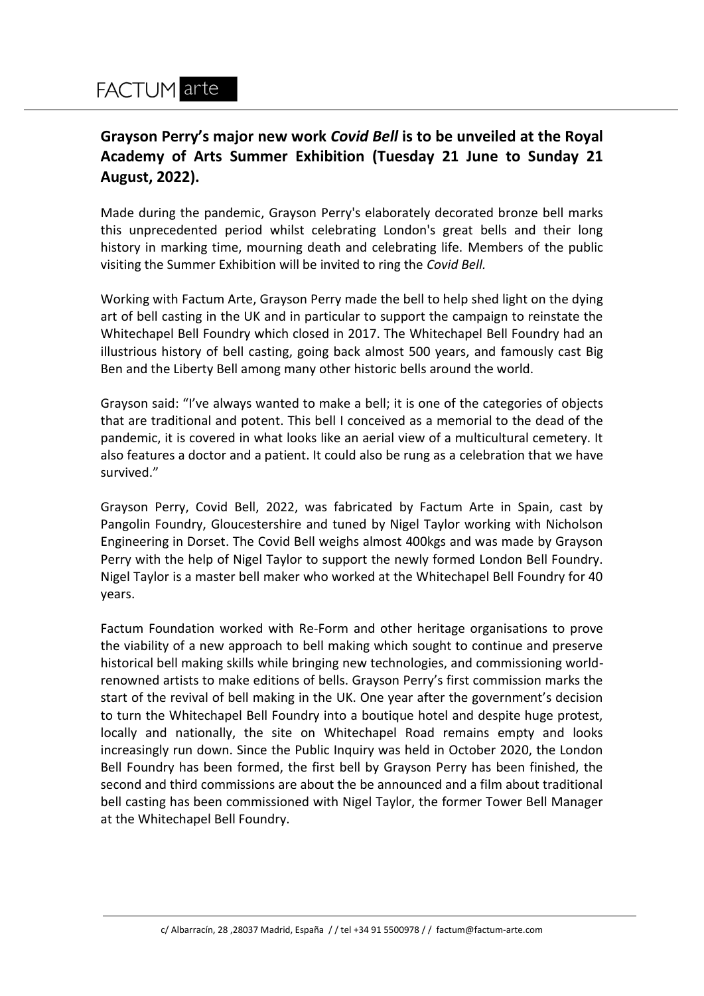# **Grayson Perry's major new work** *Covid Bell* **is to be unveiled at the Royal Academy of Arts Summer Exhibition (Tuesday 21 June to Sunday 21 August, 2022).**

Made during the pandemic, Grayson Perry's elaborately decorated bronze bell marks this unprecedented period whilst celebrating London's great bells and their long history in marking time, mourning death and celebrating life. Members of the public visiting the Summer Exhibition will be invited to ring the *Covid Bell.*

Working with Factum Arte, Grayson Perry made the bell to help shed light on the dying art of bell casting in the UK and in particular to support the campaign to reinstate the Whitechapel Bell Foundry which closed in 2017. The Whitechapel Bell Foundry had an illustrious history of bell casting, going back almost 500 years, and famously cast Big Ben and the Liberty Bell among many other historic bells around the world.

Grayson said: "I've always wanted to make a bell; it is one of the categories of objects that are traditional and potent. This bell I conceived as a memorial to the dead of the pandemic, it is covered in what looks like an aerial view of a multicultural cemetery. It also features a doctor and a patient. It could also be rung as a celebration that we have survived."

Grayson Perry, Covid Bell, 2022, was fabricated by Factum Arte in Spain, cast by Pangolin Foundry, Gloucestershire and tuned by Nigel Taylor working with Nicholson Engineering in Dorset. The Covid Bell weighs almost 400kgs and was made by Grayson Perry with the help of Nigel Taylor to support the newly formed London Bell Foundry. Nigel Taylor is a master bell maker who worked at the Whitechapel Bell Foundry for 40 years.

Factum Foundation worked with Re-Form and other heritage organisations to prove the viability of a new approach to bell making which sought to continue and preserve historical bell making skills while bringing new technologies, and commissioning worldrenowned artists to make editions of bells. Grayson Perry's first commission marks the start of the revival of bell making in the UK. One year after the government's decision to turn the Whitechapel Bell Foundry into a boutique hotel and despite huge protest, locally and nationally, the site on Whitechapel Road remains empty and looks increasingly run down. Since the Public Inquiry was held in October 2020, the London Bell Foundry has been formed, the first bell by Grayson Perry has been finished, the second and third commissions are about the be announced and a film about traditional bell casting has been commissioned with Nigel Taylor, the former Tower Bell Manager at the Whitechapel Bell Foundry.